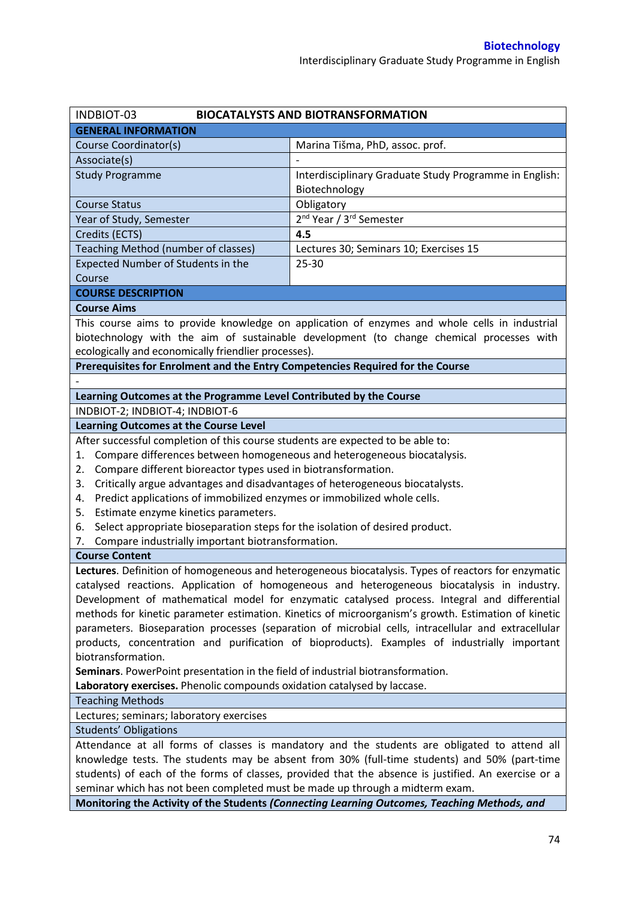| INDBIOT-03                                                                                          | <b>BIOCATALYSTS AND BIOTRANSFORMATION</b>                                                     |  |  |  |
|-----------------------------------------------------------------------------------------------------|-----------------------------------------------------------------------------------------------|--|--|--|
| <b>GENERAL INFORMATION</b>                                                                          |                                                                                               |  |  |  |
| Course Coordinator(s)                                                                               | Marina Tišma, PhD, assoc. prof.                                                               |  |  |  |
| Associate(s)                                                                                        |                                                                                               |  |  |  |
| <b>Study Programme</b>                                                                              | Interdisciplinary Graduate Study Programme in English:                                        |  |  |  |
|                                                                                                     | Biotechnology                                                                                 |  |  |  |
| <b>Course Status</b>                                                                                | Obligatory                                                                                    |  |  |  |
| Year of Study, Semester                                                                             | 2 <sup>nd</sup> Year / 3 <sup>rd</sup> Semester                                               |  |  |  |
| Credits (ECTS)                                                                                      | 4.5                                                                                           |  |  |  |
| Teaching Method (number of classes)                                                                 | Lectures 30; Seminars 10; Exercises 15                                                        |  |  |  |
| Expected Number of Students in the                                                                  | $25 - 30$                                                                                     |  |  |  |
| Course                                                                                              |                                                                                               |  |  |  |
| <b>COURSE DESCRIPTION</b>                                                                           |                                                                                               |  |  |  |
| <b>Course Aims</b>                                                                                  |                                                                                               |  |  |  |
|                                                                                                     | This course aims to provide knowledge on application of enzymes and whole cells in industrial |  |  |  |
|                                                                                                     | biotechnology with the aim of sustainable development (to change chemical processes with      |  |  |  |
| ecologically and economically friendlier processes).                                                |                                                                                               |  |  |  |
| Prerequisites for Enrolment and the Entry Competencies Required for the Course                      |                                                                                               |  |  |  |
|                                                                                                     |                                                                                               |  |  |  |
| Learning Outcomes at the Programme Level Contributed by the Course                                  |                                                                                               |  |  |  |
| INDBIOT-2; INDBIOT-4; INDBIOT-6                                                                     |                                                                                               |  |  |  |
| <b>Learning Outcomes at the Course Level</b>                                                        |                                                                                               |  |  |  |
| After successful completion of this course students are expected to be able to:                     |                                                                                               |  |  |  |
| Compare differences between homogeneous and heterogeneous biocatalysis.<br>1.                       |                                                                                               |  |  |  |
| Compare different bioreactor types used in biotransformation.<br>2.                                 |                                                                                               |  |  |  |
| Critically argue advantages and disadvantages of heterogeneous biocatalysts.<br>3.                  |                                                                                               |  |  |  |
| Predict applications of immobilized enzymes or immobilized whole cells.<br>4.                       |                                                                                               |  |  |  |
| Estimate enzyme kinetics parameters.<br>5.                                                          |                                                                                               |  |  |  |
| Select appropriate bioseparation steps for the isolation of desired product.<br>6.                  |                                                                                               |  |  |  |
| Compare industrially important biotransformation.<br>7.                                             |                                                                                               |  |  |  |
| <b>Course Content</b>                                                                               |                                                                                               |  |  |  |
| Lectures. Definition of homogeneous and heterogeneous biocatalysis. Types of reactors for enzymatic |                                                                                               |  |  |  |
| catalysed reactions. Application of homogeneous and heterogeneous biocatalysis in industry.         |                                                                                               |  |  |  |
| Development of mathematical model for enzymatic catalysed process. Integral and differential        |                                                                                               |  |  |  |
| methods for kinetic parameter estimation. Kinetics of microorganism's growth. Estimation of kinetic |                                                                                               |  |  |  |
| parameters. Bioseparation processes (separation of microbial cells, intracellular and extracellular |                                                                                               |  |  |  |
| products, concentration and purification of bioproducts). Examples of industrially important        |                                                                                               |  |  |  |
| biotransformation.                                                                                  |                                                                                               |  |  |  |
| Seminars. PowerPoint presentation in the field of industrial biotransformation.                     |                                                                                               |  |  |  |
| Laboratory exercises. Phenolic compounds oxidation catalysed by laccase.                            |                                                                                               |  |  |  |
| <b>Teaching Methods</b>                                                                             |                                                                                               |  |  |  |
| Lectures; seminars; laboratory exercises                                                            |                                                                                               |  |  |  |
| <b>Students' Obligations</b>                                                                        |                                                                                               |  |  |  |
| Attendance at all forms of classes is mandatory and the students are obligated to attend all        |                                                                                               |  |  |  |
| knowledge tests. The students may be absent from 30% (full-time students) and 50% (part-time        |                                                                                               |  |  |  |
| students) of each of the forms of classes, provided that the absence is justified. An exercise or a |                                                                                               |  |  |  |
| seminar which has not been completed must be made up through a midterm exam.                        |                                                                                               |  |  |  |
| Monitoring the Activity of the Students (Connecting Learning Outcomes, Teaching Methods, and        |                                                                                               |  |  |  |